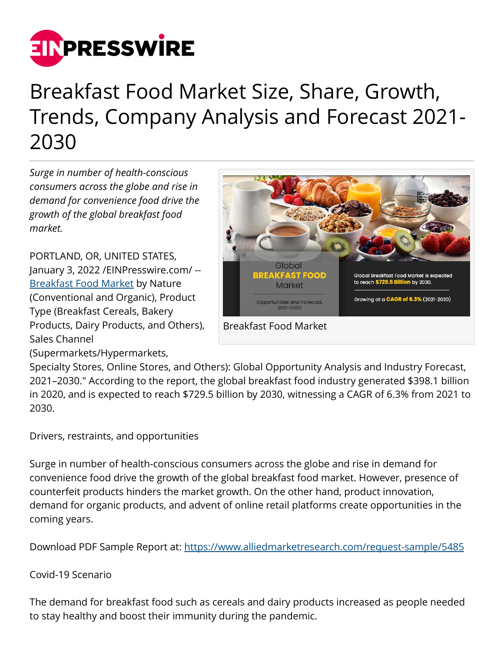

## Breakfast Food Market Size, Share, Growth, Trends, Company Analysis and Forecast 2021- 2030

*Surge in number of health-conscious consumers across the globe and rise in demand for convenience food drive the growth of the global breakfast food market.*

PORTLAND, OR, UNITED STATES, January 3, 2022 [/EINPresswire.com](http://www.einpresswire.com)/ -- [Breakfast Food Market](https://www.alliedmarketresearch.com/breakfast-food-market) by Nature (Conventional and Organic), Product Type (Breakfast Cereals, Bakery Products, Dairy Products, and Others), Sales Channel



(Supermarkets/Hypermarkets,

Specialty Stores, Online Stores, and Others): Global Opportunity Analysis and Industry Forecast, 2021–2030." According to the report, the global breakfast food industry generated \$398.1 billion in 2020, and is expected to reach \$729.5 billion by 2030, witnessing a CAGR of 6.3% from 2021 to 2030.

Drivers, restraints, and opportunities

Surge in number of health-conscious consumers across the globe and rise in demand for convenience food drive the growth of the global breakfast food market. However, presence of counterfeit products hinders the market growth. On the other hand, product innovation, demand for organic products, and advent of online retail platforms create opportunities in the coming years.

Download PDF Sample Report at: <https://www.alliedmarketresearch.com/request-sample/5485>

Covid-19 Scenario

The demand for breakfast food such as cereals and dairy products increased as people needed to stay healthy and boost their immunity during the pandemic.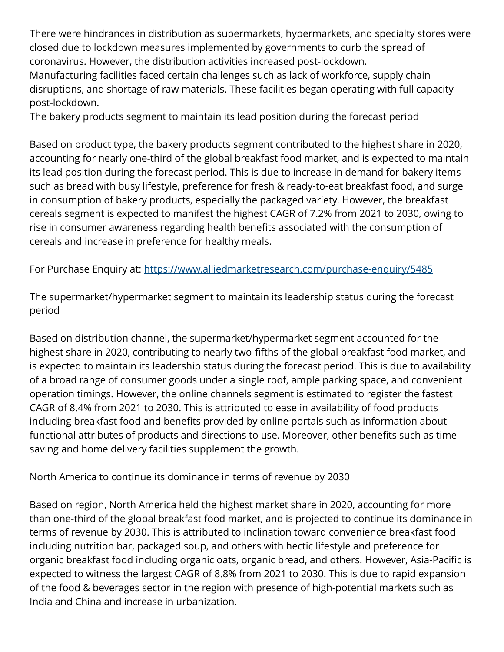There were hindrances in distribution as supermarkets, hypermarkets, and specialty stores were closed due to lockdown measures implemented by governments to curb the spread of coronavirus. However, the distribution activities increased post-lockdown.

Manufacturing facilities faced certain challenges such as lack of workforce, supply chain disruptions, and shortage of raw materials. These facilities began operating with full capacity post-lockdown.

The bakery products segment to maintain its lead position during the forecast period

Based on product type, the bakery products segment contributed to the highest share in 2020, accounting for nearly one-third of the global breakfast food market, and is expected to maintain its lead position during the forecast period. This is due to increase in demand for bakery items such as bread with busy lifestyle, preference for fresh & ready-to-eat breakfast food, and surge in consumption of bakery products, especially the packaged variety. However, the breakfast cereals segment is expected to manifest the highest CAGR of 7.2% from 2021 to 2030, owing to rise in consumer awareness regarding health benefits associated with the consumption of cereals and increase in preference for healthy meals.

For Purchase Enquiry at: <https://www.alliedmarketresearch.com/purchase-enquiry/5485>

The supermarket/hypermarket segment to maintain its leadership status during the forecast period

Based on distribution channel, the supermarket/hypermarket segment accounted for the highest share in 2020, contributing to nearly two-fifths of the global breakfast food market, and is expected to maintain its leadership status during the forecast period. This is due to availability of a broad range of consumer goods under a single roof, ample parking space, and convenient operation timings. However, the online channels segment is estimated to register the fastest CAGR of 8.4% from 2021 to 2030. This is attributed to ease in availability of food products including breakfast food and benefits provided by online portals such as information about functional attributes of products and directions to use. Moreover, other benefits such as timesaving and home delivery facilities supplement the growth.

North America to continue its dominance in terms of revenue by 2030

Based on region, North America held the highest market share in 2020, accounting for more than one-third of the global breakfast food market, and is projected to continue its dominance in terms of revenue by 2030. This is attributed to inclination toward convenience breakfast food including nutrition bar, packaged soup, and others with hectic lifestyle and preference for organic breakfast food including organic oats, organic bread, and others. However, Asia-Pacific is expected to witness the largest CAGR of 8.8% from 2021 to 2030. This is due to rapid expansion of the food & beverages sector in the region with presence of high-potential markets such as India and China and increase in urbanization.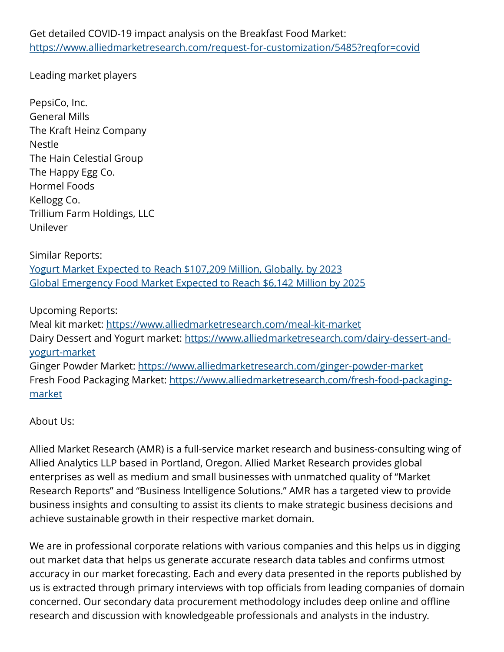Leading market players

PepsiCo, Inc. General Mills The Kraft Heinz Company Nestle The Hain Celestial Group The Happy Egg Co. Hormel Foods Kellogg Co. Trillium Farm Holdings, LLC Unilever

Similar Reports: [Yogurt Market Expected to Reach \\$107,209 Million, Globally, by 2023](https://www.alliedmarketresearch.com/yogurt-market) [Global Emergency Food Market Expected to Reach \\$6,142 Million by 2025](https://www.alliedmarketresearch.com/emergency-food-market)

Upcoming Reports:

Meal kit market:<https://www.alliedmarketresearch.com/meal-kit-market> Dairy Dessert and Yogurt market: [https://www.alliedmarketresearch.com/dairy-dessert-and](https://www.alliedmarketresearch.com/dairy-dessert-and-yogurt-market)[yogurt-market](https://www.alliedmarketresearch.com/dairy-dessert-and-yogurt-market) Ginger Powder Market: <https://www.alliedmarketresearch.com/ginger-powder-market> Fresh Food Packaging Market: [https://www.alliedmarketresearch.com/fresh-food-packaging](https://www.alliedmarketresearch.com/fresh-food-packaging-market)[market](https://www.alliedmarketresearch.com/fresh-food-packaging-market)

About Us:

Allied Market Research (AMR) is a full-service market research and business-consulting wing of Allied Analytics LLP based in Portland, Oregon. Allied Market Research provides global enterprises as well as medium and small businesses with unmatched quality of "Market Research Reports" and "Business Intelligence Solutions." AMR has a targeted view to provide business insights and consulting to assist its clients to make strategic business decisions and achieve sustainable growth in their respective market domain.

We are in professional corporate relations with various companies and this helps us in digging out market data that helps us generate accurate research data tables and confirms utmost accuracy in our market forecasting. Each and every data presented in the reports published by us is extracted through primary interviews with top officials from leading companies of domain concerned. Our secondary data procurement methodology includes deep online and offline research and discussion with knowledgeable professionals and analysts in the industry.